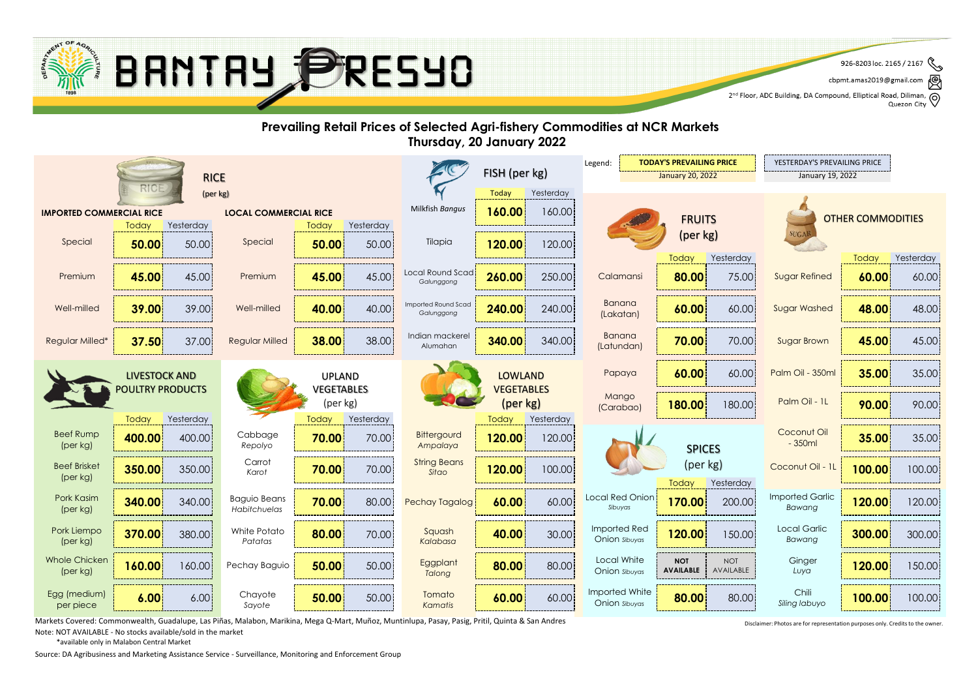

৻៙ cbpmt.amas2019@gmail.com

2<sup>nd</sup> Floor, ADC Building, DA Compound, Elliptical Road, Diliman, Q<br>2<sup>nd</sup> Floor, ADC Building, DA Compound, Elliptical Road, Diliman, Q Quezon City

#### **Prevailing Retail Prices of Selected Agri-fishery Commodities at NCR Markets Thursday, 20 January 2022 TODAY'S PREVAILING PRICE F** YESTERDAY'S PREVAILING PRICE Legend: FISH (per kg) RICE January 20, 2022 January 19, 2022 (per kg) Today Yesterday **160.00** Milkfish *Bangus* **IMPORTED COMMERCIAL RICE LOCAL COMMERCIAL RICE** 160.00 **FRUITS** OTHER COMMODITIES Today Yesterday Yesterday **Today** (per kg) **SUGA** 50.00 **120.00** 120.00 Special Special Tilapia **50.00 50.00** 50.00 Today Yesterday Today Yesterday Local Round Scad Premium Premium Calamansi Sugar Refined **45.00** 45.00 **45.00** 45.00 **260.00** 250.00 **80.00** 75.00 **60.00** 60.00 *Galunggong* Banana Imported Round Scad Well-milled **39.00** 39.00 **40.00** 40.00 **240.00** 240.00 **60.00** 60.00 **48.00** 48.00 Well-milled **40.00 40.00 Well-milled 40.00 40.00 1240.00 1240.00 1240.00 1240.00 1240.00 1240.00 1240.00 1240.00 1240.00 1240.00 1240.00 1240.00 1240.00 1240.00 1240.00 1240.00 1240.00 1240.00 1240.00 1240.00 1240.00 1240.** *Galunggong* (Lakatan)  $\text{Regular}$  Milled  $\begin{vmatrix} 38.00 & 38.00 \end{vmatrix}$  a Indian mackerel Banana Regular Milled\* **37.50** 37.00 **38.00** 38.00 **340.00** 340.00 **70.00** 70.00 **45.00** 45.00  $\begin{array}{|c|c|c|c|c|c|c|c|c|} \hline \text{Lational} & & \textbf{70.00} & \text{70.00} & \text{Sugar Brown} \ \hline \end{array}$ Alumahan Papaya **60.00** 60.00 **Palm Oil - 350ml 35.00** 35.00 LIVESTOCK AND UPLAND LOWLAND POULTRY PRODUCTS VEGETABLES VEGETABLES **Mango** (per kg) (per kg) Palm Oil - 1L **180.00** 180.00 **Palm Oil - 1L | 90.00** 90.00 (Carabao) Today Yesterday Today Yesterday **Today** Yesterday Coconut Oil Beef Rump Cabbage **Bittergourd 400.00** 400.00 **70.00** 70.00 **120.00** 120.00 **35.00** 35.00 - 350ml (per kg) *Repolyo Ampalaya* SPICES Carrot String Beans (per kg) **Beef Brisket** Coconut Oil - 11 **70.00** 70.00 **120.00 100.00 350.00** 350.00 Karof **70.00** 70.00 360.00 1**120.00** 100.00 100.00 (Per St. Coconut Oil 1 100.00 100.00 100.00 *Karot Sitao* (per kg) Today Yesterday Imported Garlic Pork Kasim Baguio Beans Local Red Onion **340.00** 340.00 **70.00** 80.00 **60.00** 60.00 **170.00** 200.00 **120.00** 120.00 Pechay Tagalog *Sibuyas Bawang* (per kg) *Habitchuelas* Imported Red White Potato Local Garlic Pork Liempo Squash **370.00** 380.00 **80.00** 70.00 **40.00** 30.00 **120.00** 150.00 **300.00** 300.00 Onion *Sibuyas Bawang* (per kg) *Patatas Kalabasa* Whole Chicken Local White NOT **Ginger Eggplant 160.00** 160.00 **Pechay Baguio** 50.00 50.00 **Eggplant 80.00** 80.00 **Bullet AVAILAL** Pechay Baguio NOI **120.00** 150.00 (per kg) Onion *Sibuyas* **AVAILABLE** *Luya Talong* Imported White Chili Egg (medium) Chavote Tomato **6.00** 6.00 **50.00** 50.00 **60.00** 60.00 **80.00** 80.00 **100.00** 100.00 Onion *Sibuyas Siling labuyo*

*Kamatis*

Markets Covered: Commonwealth, Guadalupe, Las Piñas, Malabon, Marikina, Mega Q-Mart, Muñoz, Muntinlupa, Pasay, Pasig, Pritil, Quinta & San Andres

Note: NOT AVAILABLE - No stocks available/sold in the market

\*available only in Malabon Central Market

per piece

Source: DA Agribusiness and Marketing Assistance Service - Surveillance, Monitoring and Enforcement Group

*Sayote*

Disclaimer: Photos are for representation purposes only. Credits to the owner.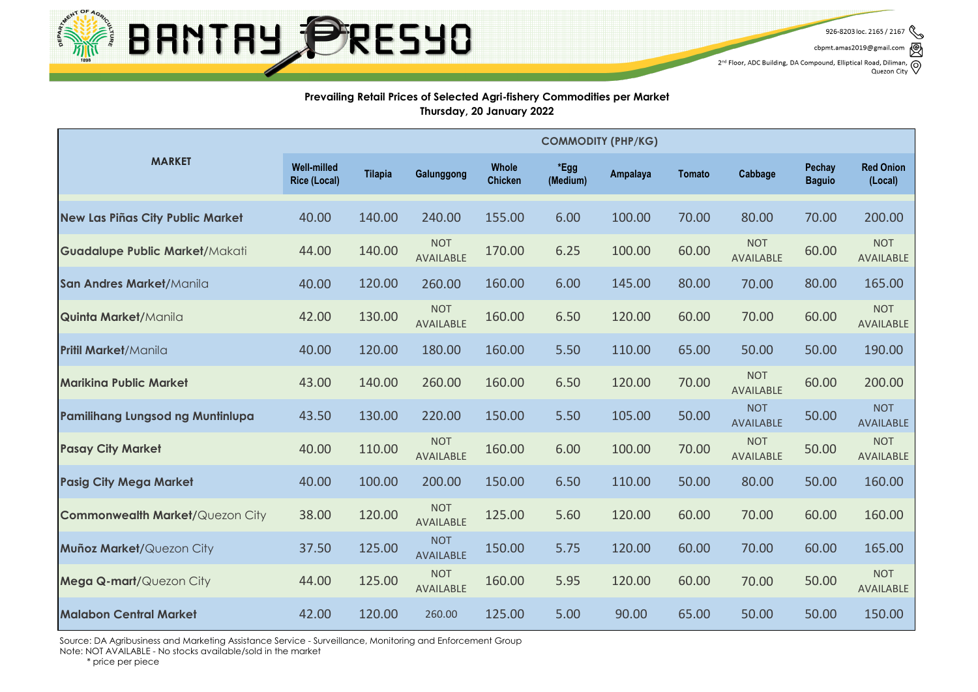

926-8203 loc. 2165 / 2167

cbpmt.amas2019@gmail.com

 $2^{nd}$  Floor, ADC Building, DA Compound, Elliptical Road, Diliman,  $\bigotimes$  Quezon City

### **Prevailing Retail Prices of Selected Agri-fishery Commodities per Market Thursday, 20 January 2022**

|                                         | <b>COMMODITY (PHP/KG)</b>                 |                |                                |                         |                  |                 |               |                                |                         |                                |
|-----------------------------------------|-------------------------------------------|----------------|--------------------------------|-------------------------|------------------|-----------------|---------------|--------------------------------|-------------------------|--------------------------------|
| <b>MARKET</b>                           | <b>Well-milled</b><br><b>Rice (Local)</b> | <b>Tilapia</b> | Galunggong                     | Whole<br><b>Chicken</b> | *Egg<br>(Medium) | <b>Ampalaya</b> | <b>Tomato</b> | Cabbage                        | Pechay<br><b>Baguio</b> | <b>Red Onion</b><br>(Local)    |
| <b>New Las Piñas City Public Market</b> | 40.00                                     | 140.00         | 240.00                         | 155.00                  | 6.00             | 100.00          | 70.00         | 80.00                          | 70.00                   | 200.00                         |
| <b>Guadalupe Public Market/Makati</b>   | 44.00                                     | 140.00         | <b>NOT</b><br><b>AVAILABLE</b> | 170.00                  | 6.25             | 100.00          | 60.00         | <b>NOT</b><br><b>AVAILABLE</b> | 60.00                   | <b>NOT</b><br>AVAILABLE        |
| San Andres Market/Manila                | 40.00                                     | 120.00         | 260.00                         | 160.00                  | 6.00             | 145.00          | 80.00         | 70.00                          | 80.00                   | 165.00                         |
| <b>Quinta Market/Manila</b>             | 42.00                                     | 130.00         | <b>NOT</b><br><b>AVAILABLE</b> | 160.00                  | 6.50             | 120.00          | 60.00         | 70.00                          | 60.00                   | <b>NOT</b><br>AVAILABLE        |
| <b>Pritil Market/Manila</b>             | 40.00                                     | 120.00         | 180.00                         | 160.00                  | 5.50             | 110.00          | 65.00         | 50.00                          | 50.00                   | 190.00                         |
| <b>Marikina Public Market</b>           | 43.00                                     | 140.00         | 260.00                         | 160.00                  | 6.50             | 120.00          | 70.00         | <b>NOT</b><br><b>AVAILABLE</b> | 60.00                   | 200.00                         |
| <b>Pamilihang Lungsod ng Muntinlupa</b> | 43.50                                     | 130.00         | 220.00                         | 150.00                  | 5.50             | 105.00          | 50.00         | <b>NOT</b><br><b>AVAILABLE</b> | 50.00                   | <b>NOT</b><br><b>AVAILABLE</b> |
| <b>Pasay City Market</b>                | 40.00                                     | 110.00         | <b>NOT</b><br>AVAILABLE        | 160.00                  | 6.00             | 100.00          | 70.00         | <b>NOT</b><br>AVAILABLE        | 50.00                   | <b>NOT</b><br>AVAILABLE        |
| <b>Pasig City Mega Market</b>           | 40.00                                     | 100.00         | 200.00                         | 150.00                  | 6.50             | 110.00          | 50.00         | 80.00                          | 50.00                   | 160.00                         |
| <b>Commonwealth Market/Quezon City</b>  | 38.00                                     | 120.00         | <b>NOT</b><br><b>AVAILABLE</b> | 125.00                  | 5.60             | 120.00          | 60.00         | 70.00                          | 60.00                   | 160.00                         |
| Muñoz Market/Quezon City                | 37.50                                     | 125.00         | <b>NOT</b><br><b>AVAILABLE</b> | 150.00                  | 5.75             | 120.00          | 60.00         | 70.00                          | 60.00                   | 165.00                         |
| Mega Q-mart/Quezon City                 | 44.00                                     | 125.00         | <b>NOT</b><br><b>AVAILABLE</b> | 160.00                  | 5.95             | 120.00          | 60.00         | 70.00                          | 50.00                   | <b>NOT</b><br>AVAILABLE        |
| <b>Malabon Central Market</b>           | 42.00                                     | 120.00         | 260.00                         | 125.00                  | 5.00             | 90.00           | 65.00         | 50.00                          | 50.00                   | 150.00                         |

Source: DA Agribusiness and Marketing Assistance Service - Surveillance, Monitoring and Enforcement Group

Note: NOT AVAILABLE - No stocks available/sold in the market

\* price per piece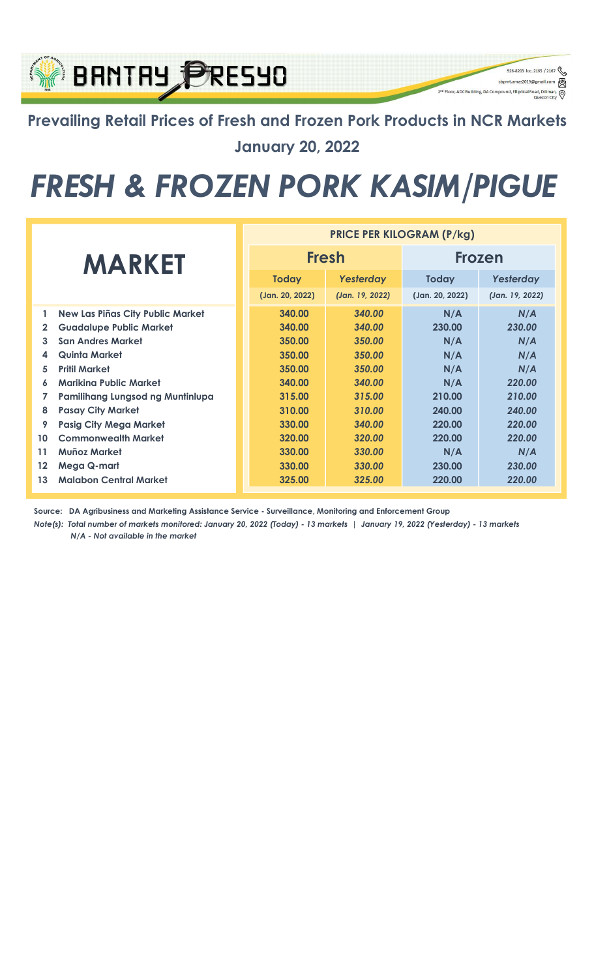## Prevailing Retail Prices of Fresh and Frozen Pork Products in NCR Markets January 20, 2022

926-8203 loc. 2165 / 2167

q

cbpmt.amas2019@gn

2<sup>nd</sup> Floor, ADC Building, DA Compound, Elliptical Re

**BRNTRY PRESYO** 

## FRESH & FROZEN PORK KASIM/PIGUE

|               |                                         | <b>PRICE PER KILOGRAM (P/kg)</b> |                 |                 |                 |  |  |
|---------------|-----------------------------------------|----------------------------------|-----------------|-----------------|-----------------|--|--|
| <b>MARKET</b> |                                         |                                  | <b>Fresh</b>    | <b>Frozen</b>   |                 |  |  |
|               |                                         | <b>Today</b>                     | Yesterday       | <b>Today</b>    | Yesterday       |  |  |
|               |                                         | (Jan. 20, 2022)                  | (Jan. 19, 2022) | (Jan. 20, 2022) | (Jan. 19, 2022) |  |  |
| 1             | <b>New Las Piñas City Public Market</b> | 340.00                           | 340.00          | N/A             | N/A             |  |  |
| $\mathbf{2}$  | <b>Guadalupe Public Market</b>          | 340.00                           | 340.00          | 230.00          | 230.00          |  |  |
| 3             | <b>San Andres Market</b>                | 350.00                           | 350.00          | N/A             | N/A             |  |  |
| 4             | Quinta Market                           | 350.00                           | 350.00          | N/A             | N/A             |  |  |
| 5             | <b>Pritil Market</b>                    | 350.00                           | 350.00          | N/A             | N/A             |  |  |
| 6             | Mariking Public Market                  | 340.00                           | 340.00          | N/A             | 220.00          |  |  |
| 7             | Pamilihang Lungsod ng Muntinlupa        | 315.00                           | 315.00          | 210.00          | 210.00          |  |  |
| 8             | <b>Pasay City Market</b>                | 310.00                           | 310.00          | 240.00          | 240.00          |  |  |
| 9             | <b>Pasig City Mega Market</b>           | 330.00                           | 340.00          | 220.00          | 220.00          |  |  |
| 10            | <b>Commonwealth Market</b>              | 320.00                           | 320.00          | 220.00          | 220.00          |  |  |
| 11            | Muñoz Market                            | 330.00                           | 330.00          | N/A             | N/A             |  |  |
| $12 \,$       | Mega Q-mart                             | 330.00                           | 330.00          | 230.00          | 230.00          |  |  |
| 13            | <b>Malabon Central Market</b>           | 325.00                           | 325.00          | 220.00          | 220.00          |  |  |

Source: DA Agribusiness and Marketing Assistance Service - Surveillance, Monitoring and Enforcement Group

N/A - Not available in the market Note(s): Total number of markets monitored: January 20, 2022 (Today) - 13 markets | January 19, 2022 (Yesterday) - 13 markets